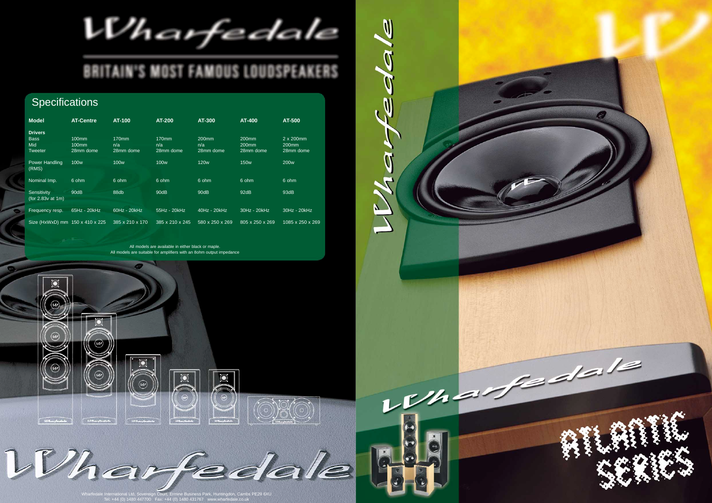$U'$ harfedale

## **BRITAIN'S MOST FAMOUS LOUDSPEAKERS**

da

Mar

 $\overline{\phantom{0}}$ 

## **Specifications**

| <b>Model</b>                       | <b>AT-Centre</b>  | AT-100          | <b>AT-200</b>   | <b>AT-300</b>     | AT-400            | AT-500            |
|------------------------------------|-------------------|-----------------|-----------------|-------------------|-------------------|-------------------|
| <b>Drivers</b>                     |                   |                 |                 |                   |                   |                   |
| <b>Bass</b>                        | $100$ mm          | $170$ mm        | 170mm           | 200 <sub>mm</sub> | 200 <sub>mm</sub> | 2 x 200mm         |
| Mid                                | 100 <sub>mm</sub> | n/a             | n/a             | n/a               | 200 <sub>mm</sub> | 200 <sub>mm</sub> |
| <b>Tweeter</b>                     | 28mm dome         | 28mm dome       | 28mm dome       | 28mm dome         | 28mm dome         | 28mm dome         |
| Power Handling<br>(RMS)            | 100 <sub>w</sub>  | <b>100w</b>     | <b>100w</b>     | <b>120w</b>       | <b>150w</b>       | 200 <sub>w</sub>  |
| Nominal Imp.                       | 6 ohm             | 6 ohm           | 6 ohm           | 6 ohm             | 6 ohm             | 6 ohm             |
| Sensitivity<br>(for $2.83v$ at 1m) | 90dB              | 88db            | 90dB            | 90dB              | 92dB              | 93dB              |
| Frequency resp.                    | 65Hz - 20kHz      | 60Hz - 20kHz    | 55Hz - 20kHz    | 40Hz - 20kHz      | 30Hz - 20kHz      | 30Hz - 20kHz      |
| Size (HxWxD) mm 150 x 410 x 225    |                   | 385 x 210 x 170 | 385 x 210 x 245 | 580 x 250 x 269   | 805 x 250 x 269   | 1085 x 250 x 269  |

ntingdon, Cambs PE29 6XU Tel: +44 (0) 1480 447700 Fax: +44 (0) 1480 431767 www.wharfedale.co.uk



All models are available in either black or maple. All models are suitable for amplifiers with an 8ohm output impedance